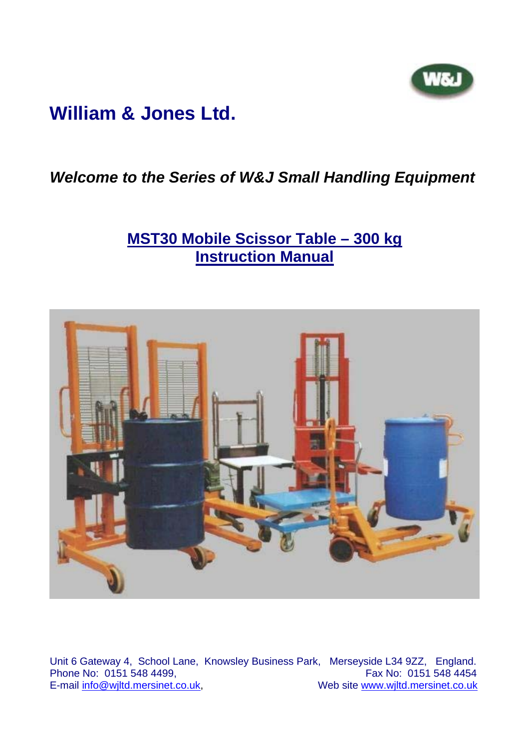

# **William & Jones Ltd.**

### *Welcome to the Series of W&J Small Handling Equipment*

## **MST30 Mobile Scissor Table – 300 kg Instruction Manual**



Unit 6 Gateway 4, School Lane, Knowsley Business Park, Merseyside L34 9ZZ, England. Phone No: 0151 548 4499,<br>E-mail info@wiltd.mersinet.co.uk, Web site www.wjltd.mersinet.co.uk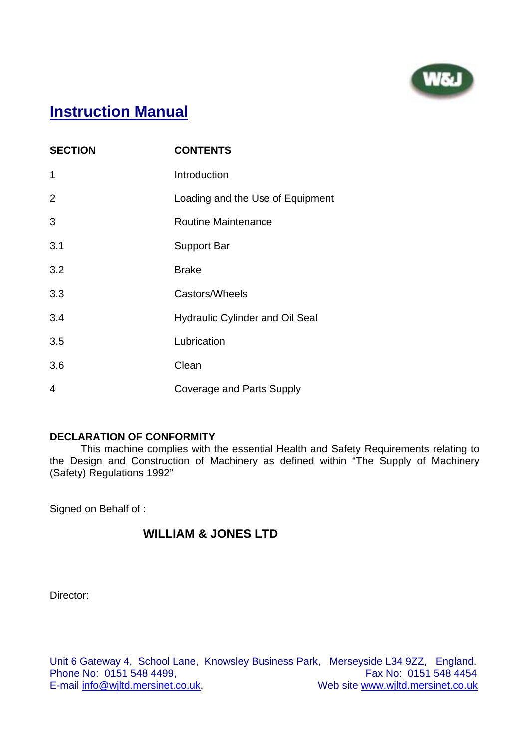

## **Instruction Manual**

| <b>SECTION</b> | <b>CONTENTS</b>                        |
|----------------|----------------------------------------|
| 1              | Introduction                           |
| $\overline{2}$ | Loading and the Use of Equipment       |
| 3              | <b>Routine Maintenance</b>             |
| 3.1            | <b>Support Bar</b>                     |
| 3.2            | <b>Brake</b>                           |
| 3.3            | Castors/Wheels                         |
| 3.4            | <b>Hydraulic Cylinder and Oil Seal</b> |
| 3.5            | Lubrication                            |
| 3.6            | Clean                                  |
| 4              | <b>Coverage and Parts Supply</b>       |

#### **DECLARATION OF CONFORMITY**

 This machine complies with the essential Health and Safety Requirements relating to the Design and Construction of Machinery as defined within "The Supply of Machinery (Safety) Regulations 1992"

Signed on Behalf of :

### **WILLIAM & JONES LTD**

Director: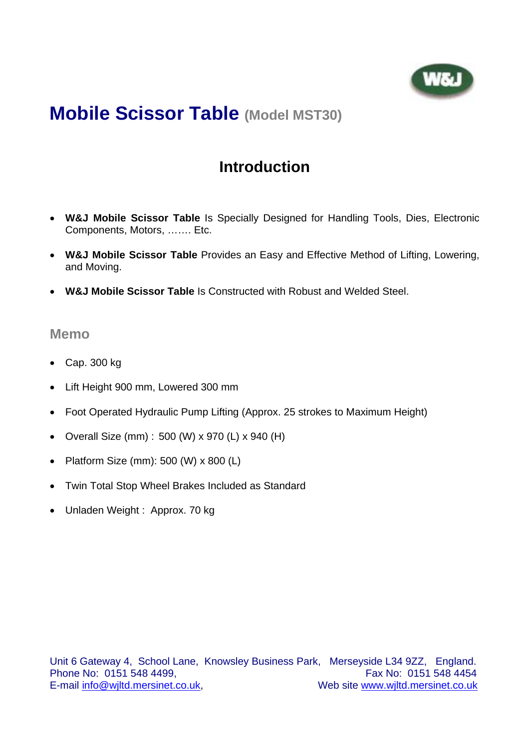

### **Introduction**

- **W&J Mobile Scissor Table** Is Specially Designed for Handling Tools, Dies, Electronic Components, Motors, ……. Etc.
- **W&J Mobile Scissor Table** Provides an Easy and Effective Method of Lifting, Lowering, and Moving.
- **W&J Mobile Scissor Table** Is Constructed with Robust and Welded Steel.

#### **Memo**

- Cap. 300 kg
- Lift Height 900 mm, Lowered 300 mm
- Foot Operated Hydraulic Pump Lifting (Approx. 25 strokes to Maximum Height)
- Overall Size (mm) : 500 (W) x 970 (L) x 940 (H)
- Platform Size (mm): 500 (W) x 800 (L)
- Twin Total Stop Wheel Brakes Included as Standard
- Unladen Weight : Approx. 70 kg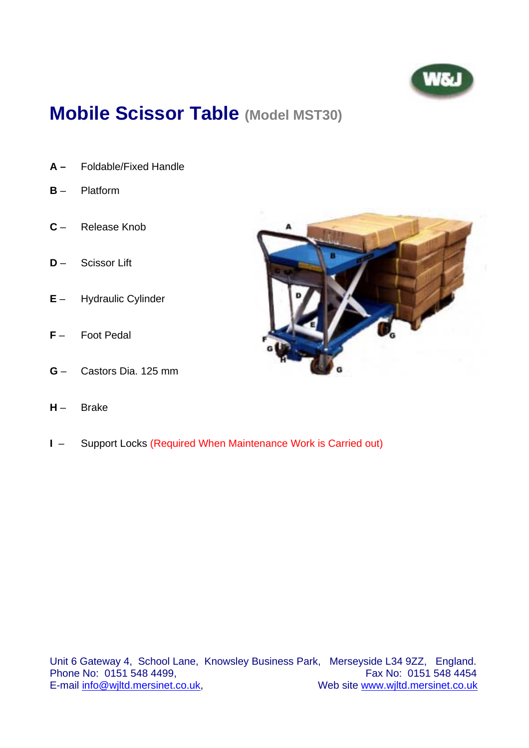

- **A** Foldable/Fixed Handle
- **B** Platform
- **C** Release Knob
- **D**  Scissor Lift
- **E** Hydraulic Cylinder
- **F** Foot Pedal
- **G** Castors Dia. 125 mm
- **H** Brake
- **I**  Support Locks (Required When Maintenance Work is Carried out)



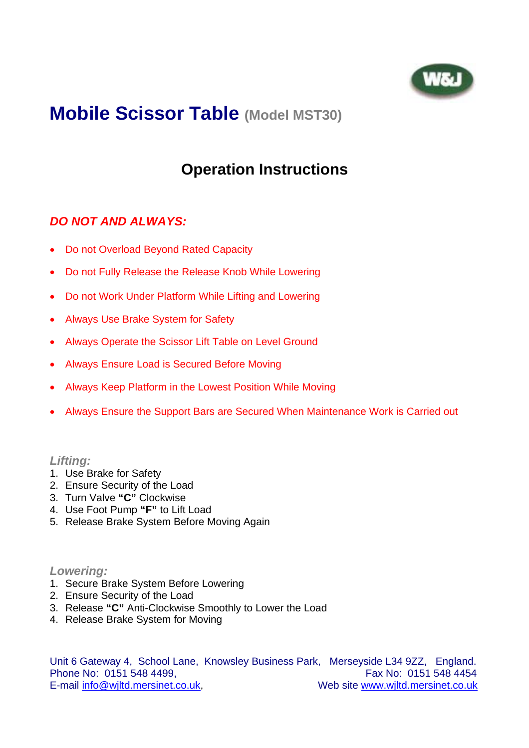

## **Operation Instructions**

#### *DO NOT AND ALWAYS:*

- Do not Overload Beyond Rated Capacity
- Do not Fully Release the Release Knob While Lowering
- Do not Work Under Platform While Lifting and Lowering
- Always Use Brake System for Safety
- Always Operate the Scissor Lift Table on Level Ground
- Always Ensure Load is Secured Before Moving
- Always Keep Platform in the Lowest Position While Moving
- Always Ensure the Support Bars are Secured When Maintenance Work is Carried out

#### *Lifting:*

- 1. Use Brake for Safety
- 2. Ensure Security of the Load
- 3. Turn Valve **"C"** Clockwise
- 4. Use Foot Pump **"F"** to Lift Load
- 5. Release Brake System Before Moving Again

#### *Lowering:*

- 1. Secure Brake System Before Lowering
- 2. Ensure Security of the Load
- 3. Release **"C"** Anti-Clockwise Smoothly to Lower the Load
- 4. Release Brake System for Moving

Unit 6 Gateway 4, School Lane, Knowsley Business Park, Merseyside L34 9ZZ, England. Phone No: 0151 548 4499, **Fax No: 0151 548 4454** E-mail info@wiltd.mersinet.co.uk, Web site www.wiltd.mersinet.co.uk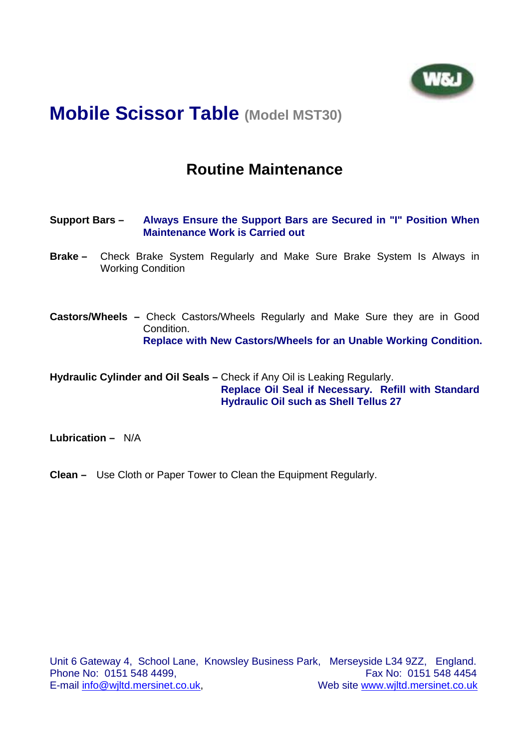

### **Routine Maintenance**

- **Support Bars – Always Ensure the Support Bars are Secured in "I" Position When Maintenance Work is Carried out**
- **Brake –** Check Brake System Regularly and Make Sure Brake System Is Always in Working Condition
- **Castors/Wheels** Check Castors/Wheels Regularly and Make Sure they are in Good Condition. **Replace with New Castors/Wheels for an Unable Working Condition.**

**Hydraulic Cylinder and Oil Seals –** Check if Any Oil is Leaking Regularly. **Replace Oil Seal if Necessary. Refill with Standard Hydraulic Oil such as Shell Tellus 27** 

**Lubrication –** N/A

**Clean –** Use Cloth or Paper Tower to Clean the Equipment Regularly.